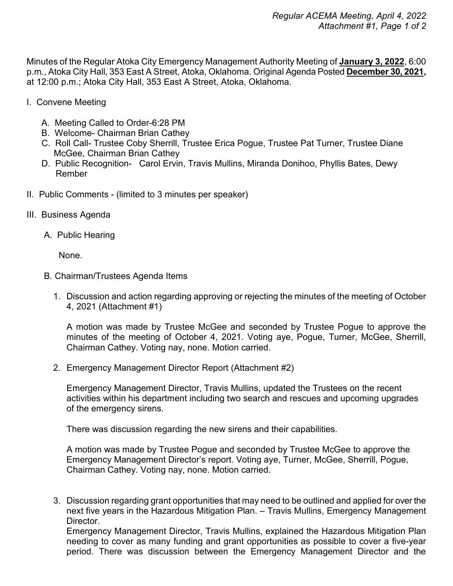Minutes of the Regular Atoka City Emergency Management Authority Meeting of **January 3, 2022**, 6:00 p.m., Atoka City Hall, 353 East A Street, Atoka, Oklahoma. Original Agenda Posted **December 30, 2021,** at 12:00 p.m.; Atoka City Hall, 353 East A Street, Atoka, Oklahoma.

- I. Convene Meeting
	- A. Meeting Called to Order-6:28 PM
	- B. Welcome- Chairman Brian Cathey
	- C. Roll Call- Trustee Coby Sherrill, Trustee Erica Pogue, Trustee Pat Turner, Trustee Diane McGee, Chairman Brian Cathey
	- D. Public Recognition- Carol Ervin, Travis Mullins, Miranda Donihoo, Phyllis Bates, Dewy Rember
- II. Public Comments (limited to 3 minutes per speaker)
- III. Business Agenda
	- A. Public Hearing

None.

- B. Chairman/Trustees Agenda Items
	- 1. Discussion and action regarding approving or rejecting the minutes of the meeting of October 4, 2021 (Attachment #1)

A motion was made by Trustee McGee and seconded by Trustee Pogue to approve the minutes of the meeting of October 4, 2021. Voting aye, Pogue, Turner, McGee, Sherrill, Chairman Cathey. Voting nay, none. Motion carried.

2. Emergency Management Director Report (Attachment #2)

Emergency Management Director, Travis Mullins, updated the Trustees on the recent activities within his department including two search and rescues and upcoming upgrades of the emergency sirens.

There was discussion regarding the new sirens and their capabilities.

A motion was made by Trustee Pogue and seconded by Trustee McGee to approve the Emergency Management Director's report. Voting aye, Turner, McGee, Sherrill, Pogue, Chairman Cathey. Voting nay, none. Motion carried.

3. Discussion regarding grant opportunities that may need to be outlined and applied for over the next five years in the Hazardous Mitigation Plan. – Travis Mullins, Emergency Management Director.

Emergency Management Director, Travis Mullins, explained the Hazardous Mitigation Plan needing to cover as many funding and grant opportunities as possible to cover a five-year period. There was discussion between the Emergency Management Director and the